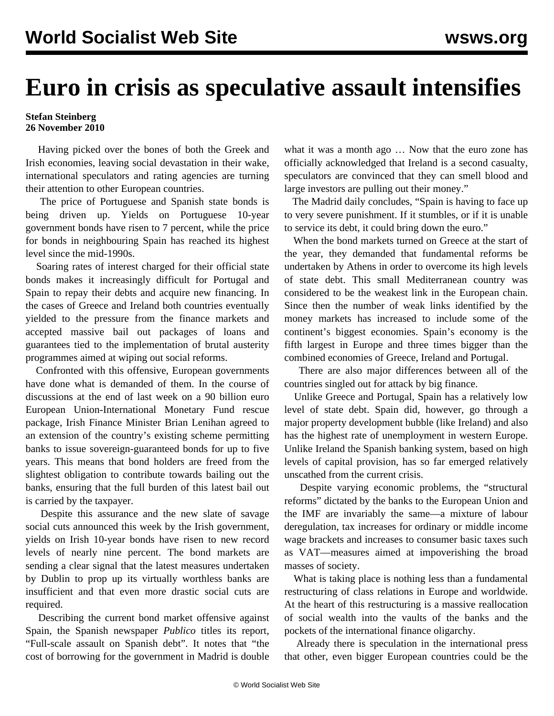## **Euro in crisis as speculative assault intensifies**

## **Stefan Steinberg 26 November 2010**

 Having picked over the bones of both the Greek and Irish economies, leaving social devastation in their wake, international speculators and rating agencies are turning their attention to other European countries.

 The price of Portuguese and Spanish state bonds is being driven up. Yields on Portuguese 10-year government bonds have risen to 7 percent, while the price for bonds in neighbouring Spain has reached its highest level since the mid-1990s.

 Soaring rates of interest charged for their official state bonds makes it increasingly difficult for Portugal and Spain to repay their debts and acquire new financing. In the cases of Greece and Ireland both countries eventually yielded to the pressure from the finance markets and accepted massive bail out packages of loans and guarantees tied to the implementation of brutal austerity programmes aimed at wiping out social reforms.

 Confronted with this offensive, European governments have done what is demanded of them. In the course of discussions at the end of last week on a 90 billion euro European Union-International Monetary Fund rescue package, Irish Finance Minister Brian Lenihan agreed to an extension of the country's existing scheme permitting banks to issue sovereign-guaranteed bonds for up to five years. This means that bond holders are freed from the slightest obligation to contribute towards bailing out the banks, ensuring that the full burden of this latest bail out is carried by the taxpayer.

 Despite this assurance and the new slate of savage social cuts announced this week by the Irish government, yields on Irish 10-year bonds have risen to new record levels of nearly nine percent. The bond markets are sending a clear signal that the latest measures undertaken by Dublin to prop up its virtually worthless banks are insufficient and that even more drastic social cuts are required.

 Describing the current bond market offensive against Spain, the Spanish newspaper *Publico* titles its report, "Full-scale assault on Spanish debt". It notes that "the cost of borrowing for the government in Madrid is double

what it was a month ago … Now that the euro zone has officially acknowledged that Ireland is a second casualty, speculators are convinced that they can smell blood and large investors are pulling out their money."

 The Madrid daily concludes, "Spain is having to face up to very severe punishment. If it stumbles, or if it is unable to service its debt, it could bring down the euro."

 When the bond markets turned on Greece at the start of the year, they demanded that fundamental reforms be undertaken by Athens in order to overcome its high levels of state debt. This small Mediterranean country was considered to be the weakest link in the European chain. Since then the number of weak links identified by the money markets has increased to include some of the continent's biggest economies. Spain's economy is the fifth largest in Europe and three times bigger than the combined economies of Greece, Ireland and Portugal.

 There are also major differences between all of the countries singled out for attack by big finance.

 Unlike Greece and Portugal, Spain has a relatively low level of state debt. Spain did, however, go through a major property development bubble (like Ireland) and also has the highest rate of unemployment in western Europe. Unlike Ireland the Spanish banking system, based on high levels of capital provision, has so far emerged relatively unscathed from the current crisis.

 Despite varying economic problems, the "structural reforms" dictated by the banks to the European Union and the IMF are invariably the same—a mixture of labour deregulation, tax increases for ordinary or middle income wage brackets and increases to consumer basic taxes such as VAT—measures aimed at impoverishing the broad masses of society.

 What is taking place is nothing less than a fundamental restructuring of class relations in Europe and worldwide. At the heart of this restructuring is a massive reallocation of social wealth into the vaults of the banks and the pockets of the international finance oligarchy.

 Already there is speculation in the international press that other, even bigger European countries could be the